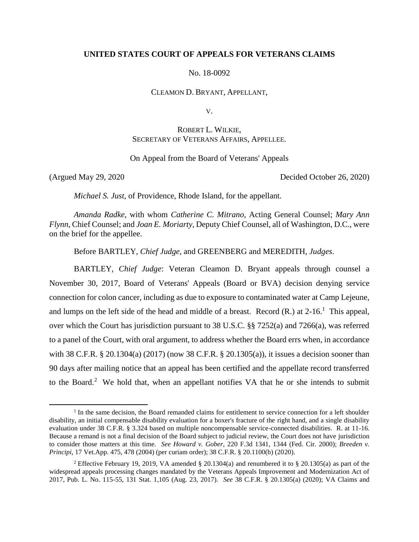# **UNITED STATES COURT OF APPEALS FOR VETERANS CLAIMS**

No. 18-0092

CLEAMON D. BRYANT, APPELLANT,

V.

# ROBERT L. WILKIE, SECRETARY OF VETERANS AFFAIRS, APPELLEE.

# On Appeal from the Board of Veterans' Appeals

 $\overline{a}$ 

(Argued May 29, 2020 Decided October 26, 2020)

*Michael S. Just*, of Providence, Rhode Island, for the appellant.

*Amanda Radke*, with whom *Catherine C. Mitrano*, Acting General Counsel; *Mary Ann Flynn*, Chief Counsel; and *Joan E. Moriarty*, Deputy Chief Counsel, all of Washington, D.C., were on the brief for the appellee.

Before BARTLEY, *Chief Judge*, and GREENBERG and MEREDITH, *Judges*.

BARTLEY, *Chief Judge*: Veteran Cleamon D. Bryant appeals through counsel a November 30, 2017, Board of Veterans' Appeals (Board or BVA) decision denying service connection for colon cancer, including as due to exposure to contaminated water at Camp Lejeune, and lumps on the left side of the head and middle of a breast. Record  $(R)$  at 2-16.<sup>1</sup> This appeal, over which the Court has jurisdiction pursuant to 38 U.S.C. §§ 7252(a) and 7266(a), was referred to a panel of the Court, with oral argument, to address whether the Board errs when, in accordance with 38 C.F.R. § 20.1304(a) (2017) (now 38 C.F.R. § 20.1305(a)), it issues a decision sooner than 90 days after mailing notice that an appeal has been certified and the appellate record transferred to the Board.<sup>2</sup> We hold that, when an appellant notifies VA that he or she intends to submit

<sup>&</sup>lt;sup>1</sup> In the same decision, the Board remanded claims for entitlement to service connection for a left shoulder disability, an initial compensable disability evaluation for a boxer's fracture of the right hand, and a single disability evaluation under 38 C.F.R. § 3.324 based on multiple noncompensable service-connected disabilities. R. at 11-16. Because a remand is not a final decision of the Board subject to judicial review, the Court does not have jurisdiction to consider those matters at this time. *See Howard v. Gober*, 220 F.3d 1341, 1344 (Fed. Cir. 2000); *Breeden v. Principi*, 17 Vet.App. 475, 478 (2004) (per curiam order); 38 C.F.R. § 20.1100(b) (2020).

<sup>&</sup>lt;sup>2</sup> Effective February 19, 2019, VA amended § 20.1304(a) and renumbered it to § 20.1305(a) as part of the widespread appeals processing changes mandated by the Veterans Appeals Improvement and Modernization Act of 2017, Pub. L. No. 115-55, 131 Stat. 1,105 (Aug. 23, 2017). *See* 38 C.F.R. § 20.1305(a) (2020); VA Claims and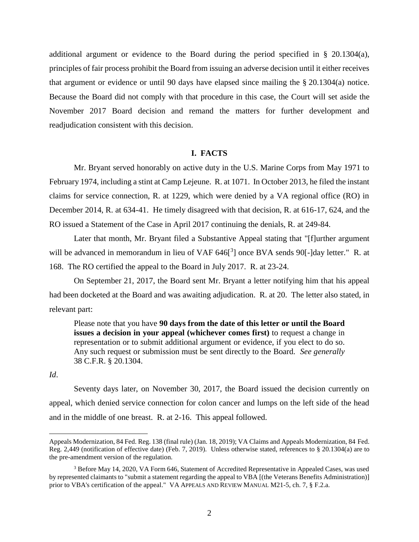additional argument or evidence to the Board during the period specified in § 20.1304(a), principles of fair process prohibit the Board from issuing an adverse decision until it either receives that argument or evidence or until 90 days have elapsed since mailing the § 20.1304(a) notice. Because the Board did not comply with that procedure in this case, the Court will set aside the November 2017 Board decision and remand the matters for further development and readjudication consistent with this decision.

#### **I. FACTS**

Mr. Bryant served honorably on active duty in the U.S. Marine Corps from May 1971 to February 1974, including a stint at Camp Lejeune. R. at 1071. In October 2013, he filed the instant claims for service connection, R. at 1229, which were denied by a VA regional office (RO) in December 2014, R. at 634-41. He timely disagreed with that decision, R. at 616-17, 624, and the RO issued a Statement of the Case in April 2017 continuing the denials, R. at 249-84.

Later that month, Mr. Bryant filed a Substantive Appeal stating that "[f]urther argument will be advanced in memorandum in lieu of VAF  $646[^3]$  once BVA sends 90[-]day letter." R. at 168. The RO certified the appeal to the Board in July 2017. R. at 23-24.

On September 21, 2017, the Board sent Mr. Bryant a letter notifying him that his appeal had been docketed at the Board and was awaiting adjudication. R. at 20. The letter also stated, in relevant part:

Please note that you have **90 days from the date of this letter or until the Board issues a decision in your appeal (whichever comes first)** to request a change in representation or to submit additional argument or evidence, if you elect to do so. Any such request or submission must be sent directly to the Board. *See generally* 38 C.F.R. § 20.1304.

#### *Id*.

 $\overline{a}$ 

Seventy days later, on November 30, 2017, the Board issued the decision currently on appeal, which denied service connection for colon cancer and lumps on the left side of the head and in the middle of one breast. R. at 2-16. This appeal followed.

Appeals Modernization, 84 Fed. Reg. 138 (final rule) (Jan. 18, 2019); VA Claims and Appeals Modernization, 84 Fed. Reg. 2,449 (notification of effective date) (Feb. 7, 2019). Unless otherwise stated, references to § 20.1304(a) are to the pre-amendment version of the regulation.

<sup>&</sup>lt;sup>3</sup> Before May 14, 2020, VA Form 646, Statement of Accredited Representative in Appealed Cases, was used by represented claimants to "submit a statement regarding the appeal to VBA [(the Veterans Benefits Administration)] prior to VBA's certification of the appeal." VA APPEALS AND REVIEW MANUAL M21-5, ch. 7, § F.2.a.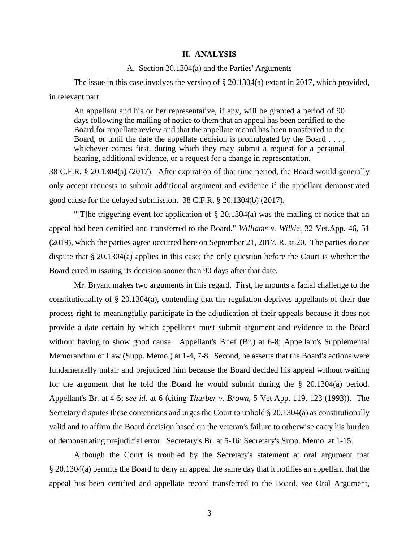### **II. ANALYSIS**

#### A. Section 20.1304(a) and the Parties' Arguments

The issue in this case involves the version of § 20.1304(a) extant in 2017, which provided, in relevant part:

An appellant and his or her representative, if any, will be granted a period of 90 days following the mailing of notice to them that an appeal has been certified to the Board for appellate review and that the appellate record has been transferred to the Board, or until the date the appellate decision is promulgated by the Board  $\dots$ , whichever comes first, during which they may submit a request for a personal hearing, additional evidence, or a request for a change in representation.

38 C.F.R. § 20.1304(a) (2017). After expiration of that time period, the Board would generally only accept requests to submit additional argument and evidence if the appellant demonstrated good cause for the delayed submission. 38 C.F.R. § 20.1304(b) (2017).

"[T]he triggering event for application of § 20.1304(a) was the mailing of notice that an appeal had been certified and transferred to the Board," *Williams v. Wilkie*, 32 Vet.App. 46, 51 (2019), which the parties agree occurred here on September 21, 2017, R. at 20. The parties do not dispute that § 20.1304(a) applies in this case; the only question before the Court is whether the Board erred in issuing its decision sooner than 90 days after that date.

Mr. Bryant makes two arguments in this regard. First, he mounts a facial challenge to the constitutionality of § 20.1304(a), contending that the regulation deprives appellants of their due process right to meaningfully participate in the adjudication of their appeals because it does not provide a date certain by which appellants must submit argument and evidence to the Board without having to show good cause. Appellant's Brief (Br.) at 6-8; Appellant's Supplemental Memorandum of Law (Supp. Memo.) at 1-4, 7-8. Second, he asserts that the Board's actions were fundamentally unfair and prejudiced him because the Board decided his appeal without waiting for the argument that he told the Board he would submit during the § 20.1304(a) period. Appellant's Br. at 4-5; *see id*. at 6 (citing *Thurber v. Brown*, 5 Vet.App. 119, 123 (1993)). The Secretary disputes these contentions and urges the Court to uphold § 20.1304(a) as constitutionally valid and to affirm the Board decision based on the veteran's failure to otherwise carry his burden of demonstrating prejudicial error. Secretary's Br. at 5-16; Secretary's Supp. Memo. at 1-15.

Although the Court is troubled by the Secretary's statement at oral argument that § 20.1304(a) permits the Board to deny an appeal the same day that it notifies an appellant that the appeal has been certified and appellate record transferred to the Board, *see* Oral Argument,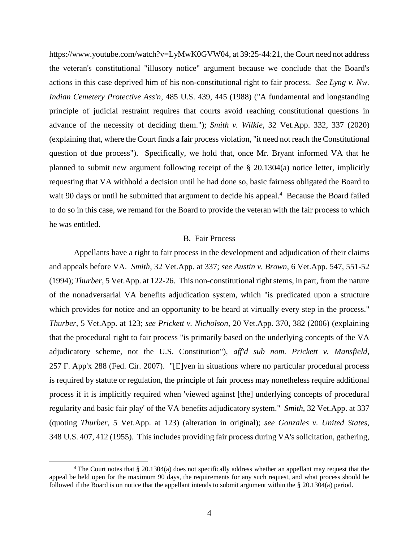https://www.youtube.com/watch?v=LyMwK0GVW04, at 39:25-44:21, the Court need not address the veteran's constitutional "illusory notice" argument because we conclude that the Board's actions in this case deprived him of his non-constitutional right to fair process. *See Lyng v. Nw. Indian Cemetery Protective Ass'n*, 485 U.S. 439, 445 (1988) ("A fundamental and longstanding principle of judicial restraint requires that courts avoid reaching constitutional questions in advance of the necessity of deciding them."); *Smith v. Wilkie*, 32 Vet.App. 332, 337 (2020) (explaining that, where the Court finds a fair process violation, "it need not reach the Constitutional question of due process"). Specifically, we hold that, once Mr. Bryant informed VA that he planned to submit new argument following receipt of the § 20.1304(a) notice letter, implicitly requesting that VA withhold a decision until he had done so, basic fairness obligated the Board to wait 90 days or until he submitted that argument to decide his appeal.<sup>4</sup> Because the Board failed to do so in this case, we remand for the Board to provide the veteran with the fair process to which he was entitled.

# B. Fair Process

Appellants have a right to fair process in the development and adjudication of their claims and appeals before VA. *Smith*, 32 Vet.App. at 337; *see Austin v. Brown*, 6 Vet.App. 547, 551-52 (1994); *Thurber*, 5 Vet.App. at 122-26. This non-constitutional right stems, in part, from the nature of the nonadversarial VA benefits adjudication system, which "is predicated upon a structure which provides for notice and an opportunity to be heard at virtually every step in the process." *Thurber*, 5 Vet.App. at 123; *see Prickett v. Nicholson*, 20 Vet.App. 370, 382 (2006) (explaining that the procedural right to fair process "is primarily based on the underlying concepts of the VA adjudicatory scheme, not the U.S. Constitution"), *aff'd sub nom. Prickett v. Mansfield*, 257 F. App'x 288 (Fed. Cir. 2007). "[E]ven in situations where no particular procedural process is required by statute or regulation, the principle of fair process may nonetheless require additional process if it is implicitly required when 'viewed against [the] underlying concepts of procedural regularity and basic fair play' of the VA benefits adjudicatory system." *Smith*, 32 Vet.App. at 337 (quoting *Thurber*, 5 Vet.App. at 123) (alteration in original); *see Gonzales v. United States*, 348 U.S. 407, 412 (1955). This includes providing fair process during VA's solicitation, gathering,

<sup>4</sup> The Court notes that § 20.1304(a) does not specifically address whether an appellant may request that the appeal be held open for the maximum 90 days, the requirements for any such request, and what process should be followed if the Board is on notice that the appellant intends to submit argument within the § 20.1304(a) period.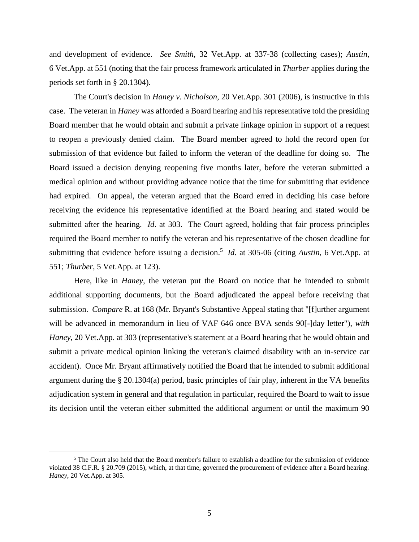and development of evidence. *See Smith*, 32 Vet.App. at 337-38 (collecting cases); *Austin*, 6 Vet.App. at 551 (noting that the fair process framework articulated in *Thurber* applies during the periods set forth in § 20.1304).

The Court's decision in *Haney v. Nicholson*, 20 Vet.App. 301 (2006), is instructive in this case. The veteran in *Haney* was afforded a Board hearing and his representative told the presiding Board member that he would obtain and submit a private linkage opinion in support of a request to reopen a previously denied claim. The Board member agreed to hold the record open for submission of that evidence but failed to inform the veteran of the deadline for doing so. The Board issued a decision denying reopening five months later, before the veteran submitted a medical opinion and without providing advance notice that the time for submitting that evidence had expired. On appeal, the veteran argued that the Board erred in deciding his case before receiving the evidence his representative identified at the Board hearing and stated would be submitted after the hearing. *Id*. at 303. The Court agreed, holding that fair process principles required the Board member to notify the veteran and his representative of the chosen deadline for submitting that evidence before issuing a decision.<sup>5</sup> *Id.* at 305-06 (citing *Austin*, 6 Vet.App. at 551; *Thurber*, 5 Vet.App. at 123).

Here, like in *Haney*, the veteran put the Board on notice that he intended to submit additional supporting documents, but the Board adjudicated the appeal before receiving that submission. *Compare* R. at 168 (Mr. Bryant's Substantive Appeal stating that "[f]urther argument will be advanced in memorandum in lieu of VAF 646 once BVA sends 90[-]day letter"), *with Haney*, 20 Vet.App. at 303 (representative's statement at a Board hearing that he would obtain and submit a private medical opinion linking the veteran's claimed disability with an in-service car accident). Once Mr. Bryant affirmatively notified the Board that he intended to submit additional argument during the § 20.1304(a) period, basic principles of fair play, inherent in the VA benefits adjudication system in general and that regulation in particular, required the Board to wait to issue its decision until the veteran either submitted the additional argument or until the maximum 90

<sup>5</sup> The Court also held that the Board member's failure to establish a deadline for the submission of evidence violated 38 C.F.R. § 20.709 (2015), which, at that time, governed the procurement of evidence after a Board hearing. *Haney*, 20 Vet.App. at 305.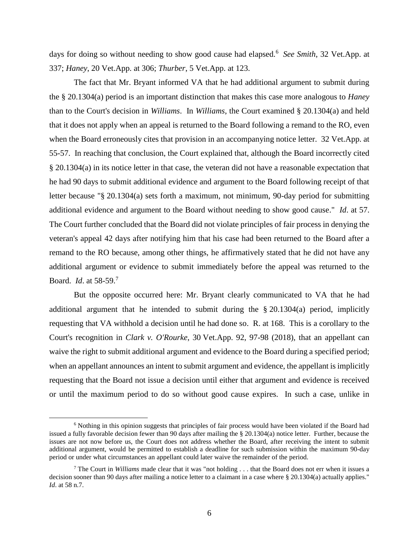days for doing so without needing to show good cause had elapsed.<sup>6</sup> *See Smith*, 32 Vet.App. at 337; *Haney*, 20 Vet.App. at 306; *Thurber*, 5 Vet.App. at 123.

The fact that Mr. Bryant informed VA that he had additional argument to submit during the § 20.1304(a) period is an important distinction that makes this case more analogous to *Haney*  than to the Court's decision in *Williams*. In *Williams*, the Court examined § 20.1304(a) and held that it does not apply when an appeal is returned to the Board following a remand to the RO, even when the Board erroneously cites that provision in an accompanying notice letter. 32 Vet.App. at 55-57. In reaching that conclusion, the Court explained that, although the Board incorrectly cited § 20.1304(a) in its notice letter in that case, the veteran did not have a reasonable expectation that he had 90 days to submit additional evidence and argument to the Board following receipt of that letter because "§ 20.1304(a) sets forth a maximum, not minimum, 90-day period for submitting additional evidence and argument to the Board without needing to show good cause." *Id*. at 57. The Court further concluded that the Board did not violate principles of fair process in denying the veteran's appeal 42 days after notifying him that his case had been returned to the Board after a remand to the RO because, among other things, he affirmatively stated that he did not have any additional argument or evidence to submit immediately before the appeal was returned to the Board. *Id*. at 58-59.<sup>7</sup>

But the opposite occurred here: Mr. Bryant clearly communicated to VA that he had additional argument that he intended to submit during the  $\S 20.1304(a)$  period, implicitly requesting that VA withhold a decision until he had done so. R. at 168. This is a corollary to the Court's recognition in *Clark v. O'Rourke*, 30 Vet.App. 92, 97-98 (2018), that an appellant can waive the right to submit additional argument and evidence to the Board during a specified period; when an appellant announces an intent to submit argument and evidence, the appellant is implicitly requesting that the Board not issue a decision until either that argument and evidence is received or until the maximum period to do so without good cause expires. In such a case, unlike in

<sup>&</sup>lt;sup>6</sup> Nothing in this opinion suggests that principles of fair process would have been violated if the Board had issued a fully favorable decision fewer than 90 days after mailing the § 20.1304(a) notice letter. Further, because the issues are not now before us, the Court does not address whether the Board, after receiving the intent to submit additional argument, would be permitted to establish a deadline for such submission within the maximum 90-day period or under what circumstances an appellant could later waive the remainder of the period.

<sup>7</sup> The Court in *Williams* made clear that it was "not holding . . . that the Board does not err when it issues a decision sooner than 90 days after mailing a notice letter to a claimant in a case where § 20.1304(a) actually applies." *Id*. at 58 n.7.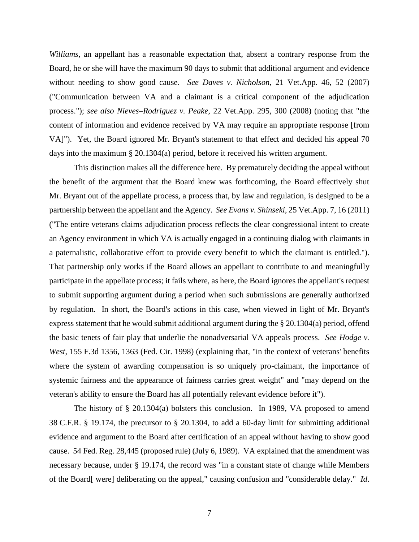*Williams*, an appellant has a reasonable expectation that, absent a contrary response from the Board, he or she will have the maximum 90 days to submit that additional argument and evidence without needing to show good cause. *See Daves v. Nicholson*, 21 Vet.App. 46, 52 (2007) ("Communication between VA and a claimant is a critical component of the adjudication process."); *see also Nieves–Rodriguez v. Peake*, 22 Vet.App. 295, 300 (2008) (noting that "the content of information and evidence received by VA may require an appropriate response [from VA]"). Yet, the Board ignored Mr. Bryant's statement to that effect and decided his appeal 70 days into the maximum § 20.1304(a) period, before it received his written argument.

This distinction makes all the difference here. By prematurely deciding the appeal without the benefit of the argument that the Board knew was forthcoming, the Board effectively shut Mr. Bryant out of the appellate process, a process that, by law and regulation, is designed to be a partnership between the appellant and the Agency. *See Evans v. Shinseki*, 25 Vet.App. 7, 16 (2011) ("The entire veterans claims adjudication process reflects the clear congressional intent to create an Agency environment in which VA is actually engaged in a continuing dialog with claimants in a paternalistic, collaborative effort to provide every benefit to which the claimant is entitled."). That partnership only works if the Board allows an appellant to contribute to and meaningfully participate in the appellate process; it fails where, as here, the Board ignores the appellant's request to submit supporting argument during a period when such submissions are generally authorized by regulation. In short, the Board's actions in this case, when viewed in light of Mr. Bryant's express statement that he would submit additional argument during the § 20.1304(a) period, offend the basic tenets of fair play that underlie the nonadversarial VA appeals process. *See Hodge v. West*, 155 F.3d 1356, 1363 (Fed. Cir. 1998) (explaining that, "in the context of veterans' benefits where the system of awarding compensation is so uniquely pro-claimant, the importance of systemic fairness and the appearance of fairness carries great weight" and "may depend on the veteran's ability to ensure the Board has all potentially relevant evidence before it").

The history of § 20.1304(a) bolsters this conclusion. In 1989, VA proposed to amend 38 C.F.R. § 19.174, the precursor to § 20.1304, to add a 60-day limit for submitting additional evidence and argument to the Board after certification of an appeal without having to show good cause. 54 Fed. Reg. 28,445 (proposed rule) (July 6, 1989). VA explained that the amendment was necessary because, under § 19.174, the record was "in a constant state of change while Members of the Board[ were] deliberating on the appeal," causing confusion and "considerable delay." *Id*.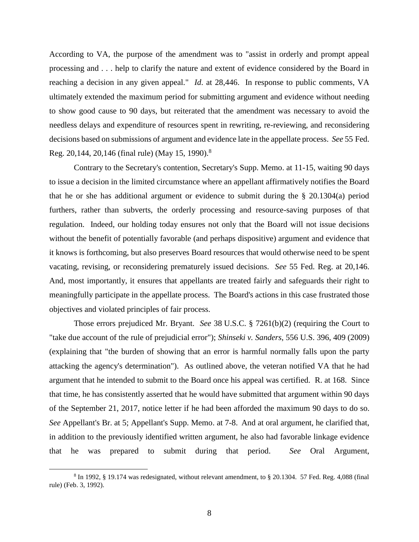According to VA, the purpose of the amendment was to "assist in orderly and prompt appeal processing and . . . help to clarify the nature and extent of evidence considered by the Board in reaching a decision in any given appeal." *Id*. at 28,446. In response to public comments, VA ultimately extended the maximum period for submitting argument and evidence without needing to show good cause to 90 days, but reiterated that the amendment was necessary to avoid the needless delays and expenditure of resources spent in rewriting, re-reviewing, and reconsidering decisions based on submissions of argument and evidence late in the appellate process. *See* 55 Fed. Reg. 20,144, 20,146 (final rule) (May 15, 1990).<sup>8</sup>

Contrary to the Secretary's contention, Secretary's Supp. Memo. at 11-15, waiting 90 days to issue a decision in the limited circumstance where an appellant affirmatively notifies the Board that he or she has additional argument or evidence to submit during the § 20.1304(a) period furthers, rather than subverts, the orderly processing and resource-saving purposes of that regulation. Indeed, our holding today ensures not only that the Board will not issue decisions without the benefit of potentially favorable (and perhaps dispositive) argument and evidence that it knows is forthcoming, but also preserves Board resources that would otherwise need to be spent vacating, revising, or reconsidering prematurely issued decisions. *See* 55 Fed. Reg. at 20,146. And, most importantly, it ensures that appellants are treated fairly and safeguards their right to meaningfully participate in the appellate process. The Board's actions in this case frustrated those objectives and violated principles of fair process.

Those errors prejudiced Mr. Bryant. *See* 38 U.S.C. § 7261(b)(2) (requiring the Court to "take due account of the rule of prejudicial error"); *Shinseki v. Sanders*, 556 U.S. 396, 409 (2009) (explaining that "the burden of showing that an error is harmful normally falls upon the party attacking the agency's determination"). As outlined above, the veteran notified VA that he had argument that he intended to submit to the Board once his appeal was certified. R. at 168. Since that time, he has consistently asserted that he would have submitted that argument within 90 days of the September 21, 2017, notice letter if he had been afforded the maximum 90 days to do so. *See* Appellant's Br. at 5; Appellant's Supp. Memo. at 7-8. And at oral argument, he clarified that, in addition to the previously identified written argument, he also had favorable linkage evidence that he was prepared to submit during that period. *See* Oral Argument,

 $8 \text{ In } 1992$ , § 19.174 was redesignated, without relevant amendment, to § 20.1304. 57 Fed. Reg. 4,088 (final rule) (Feb. 3, 1992).